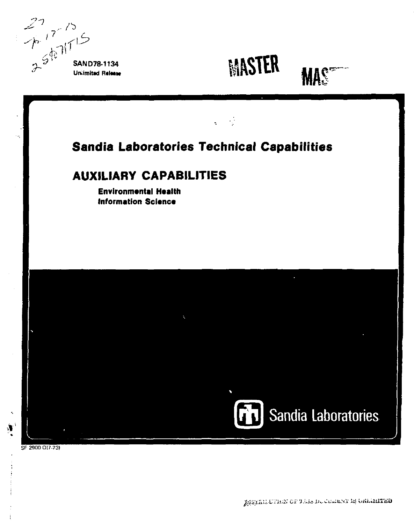$77/5$ <br> $7/15$ <br> $3^{56}$   $11^{15}$ 









# Sandia Laboratories Technical Capabilities

# **AUXILIARY CAPABILITIES**

**Environmental Health Information Science** 



SF 2900 Q(7-73)

 $\mathbf{A}^{\prime}$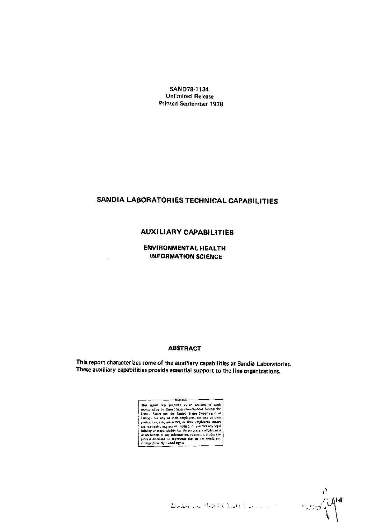SAND78-1134 Unlimited Release Printed September 1978

# SANDIA LABORATORIES TECHNICAL CAPABILITIES

# **AUXILIARY CAPABILITIES**

**ENVIRONMENTAL HEALTH INFORMATION SCIENCE** 

#### **ABSTRACT**

This report characterizes some of the auxiliary capabilities at Sandia Laboratories. These auxiliary capabilities provide essential support to the line organizations.



ာဘာရံ

الأريان ووادوا والارتجاع عالم فلأقاطع والمهجمة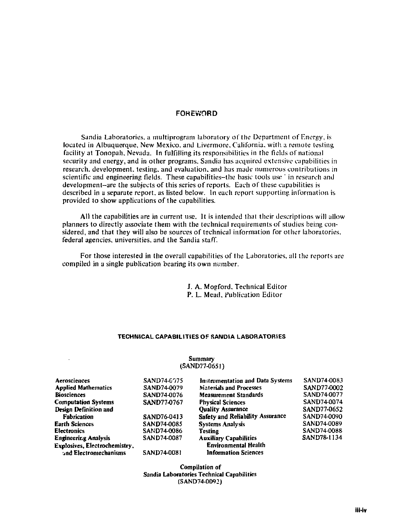## **FOREWORD**

Sandia Laboratories, a multiprogram laboratory of the Department of Energy, is located in Albuquerque, New Mexico, and Livermore. California, with a remote testing facility at Tonopali. Nevada. In fulfilling its responsibilities in the fields of national security and energy, and in other programs. Sandia has acquired extensive capabilities in research, development, testing, and evaluation, and has made numerous contributions in scientific and engineering fields. These capabilities-the basic tools use ' in research and development-are the subjects of this series of reports. Each of these capabilities is described in a separate report, as listed below. In each report supporting information is provided to show applications of the capabilities.

All the capabilities are in current use. It is intended that their descriptions will allow planners to directly associate them with the technical requirements of studies being considered, and that they will also be sources of technical information for other laboratories, federal agencies, universities, and the Sandia staff.

For those interested in the overall capabilities of the Laboratories, all the reports are compiled in a single publication bearing its own number.

> J. A. Mogford. Technical Editor P. L. Mead, Publication Editor

## **TECHNICAL CAPABILITIES OF SANDIA LABORATORIES**

#### Summary (SAND77-06S1)

| Aerosciences                  | SAND74-0075 | Instrumentation and Data Systems | SAND74-0083 |
|-------------------------------|-------------|----------------------------------|-------------|
| <b>Applied Mathematics</b>    | SAND74-0079 | Materials and Processes          | SAND77-0002 |
| <b>Biosciences</b>            | SAND74-0076 | <b>Measurement Standards</b>     | SAND74-0077 |
| <b>Computation Systems</b>    | SAND77-0767 | <b>Physical Sciences</b>         | SAND74-0074 |
| Design Definition and         |             | <b>Ouality Assurance</b>         | SAND77-0652 |
| <b>Fabrication</b>            | SAND76-0413 | Safety and Reliability Assurance | SAND74-0090 |
| <b>Earth Sciences</b>         | SAND74-0085 | <b>Systems Analysis</b>          | SAND74-0089 |
| <b>Electronics</b>            | SAND74-0086 | <b>Testing</b>                   | SAND74-0088 |
| <b>Engineering Analysis</b>   | SAND74-0087 | <b>Auxiliary Capabilities</b>    | SAND78-1134 |
| Explosives, Electrochemistry, |             | <b>Environmental Health</b>      |             |
| and Electromechanisms         | SAND74-0081 | <b>Information Sciences</b>      |             |

Compilation of Sandia Laboratories Technical Capabilities (SAND74-0092)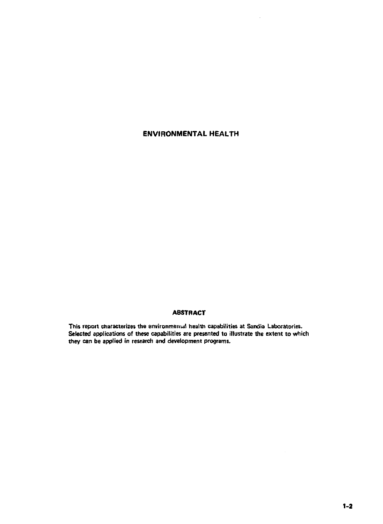# **ENVIRONMENTAL HEALTH**

## **ABSTRACT**

This report characterizes the environmental health capabilities at Sandia Laboratories. **Selected applications of these capabilities are presented to illustrate the extent to which they can be applied in research and development programs.**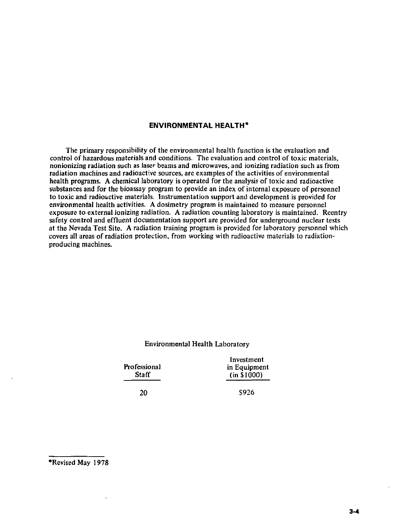# **ENVIRONMENTAL HEALTH\***

The primary responsibility of the environmental health function is the evaluation and control of hazardous materials and conditions. The evaluation and control of toxic materials, nonionizing radiation such as laser beams and microwaves, and ionizing radiation such as from radiation machines and radioactive sources, are examples of the activities of environmental health programs. A chemical laboratory is operated for the analysis of toxic and radioactive substances and for the bioassay program to provide an index of internal exposure of personnel to toxic and radioactive materials. Instrumentation support and development is provided for environmental health activities. A dosimetry program is maintained to measure personnel exposure to external ionizing radiation. A radiation counting laboratory is maintained. Reentry safety control and effluent documentation support are provided for underground nuclear tests at the Nevada Test Site. A radiation training program is provided for laboratory personnel which covers all areas of radiation protection, from working with radioactive materials to radiationproducing machines.

## Environmental Health Laboratory

Investment Professional in Equipment<br>
Staff (in \$1000)  $(i n \sin 000)$ 

20 S926

<sup>•</sup>Revised May 1978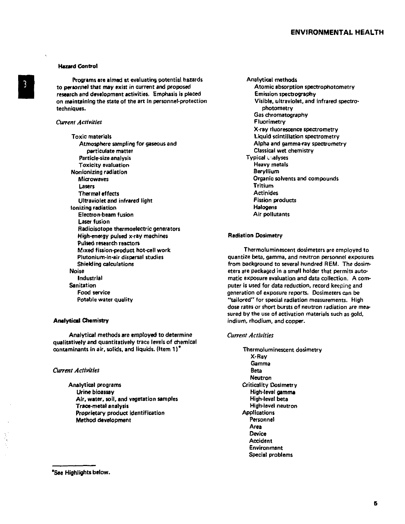## **ENVIRONMENTAL HEALTH**

#### Hazard Control

Programs are aimed at evaluating potential hazards to personnel that may exist in current and proposed research and development activities. Emphasis is placed on maintaining the state of the art in personnel-protection techniques.

#### *Current Activities*

Toxic materials Atmosphere sampling for gaseous and particulate matter Particle-size analysis Toxicity evaluation Nonionizing radiation Microwaves Lasers Thermal effects Ultraviolet and infrared light ionizing radiation Electron-beam fusion Laser fusion Radioisotope thermoelectric generators High-energy pulsed x-ray machines Pulsed research reactors Mixed fission-product hot-cell work Plutonium-in-air dispersal studies Shielding calculations Noise Industrial **Sanitation** Food service Potable water quality

#### **Analytical Chemistry**

Analytical methods *are* employed to determine qualitatively and quantitatively trace levels of chemical contaminants in air, solids, and liquids. (Item 1)<sup>\*</sup>

#### *Current Activities*

Analytical programs Urine bioassay Air, water, soil, and vegetation samples Trace-metal analysis Proprietary product identification Method development

Analytical methods Atomic absorption spectrophotometry Emission spectrography Visible, ultraviolet, and infrared spectrophotometry Gas chromatography Fluorimetry X-ray fluorescence spectrometry Liquid scintillation spectrometry Alpha and gamma-ray spectrometry Classical wet chemistry Typical •. ialyses Heavy metals Beryllium Organic solvents and compounds Tritium Actinides Fission products Halogens Air pollutants

#### Radiation Dosimetry

Thermoluminescent dosimeters are employed to quantize beta, gamma, and neutron personnel exposures from background to several hundred HEM. The dosimeters are packaged in a small holder that permits automatic exposure evaluation and data collection. A computer is used for data reduction, record keeping and generation of exposure reports. Dosimeters can be "tailored" for special radiation measurements. High dose rates or short bursts of neutron radiation are measured by the use of activation materials such as gold, indium, rhodium, and copper.

#### *Current Activities*

Thermoluminescent dosimetry X-Ray Gamma Beta Neutron Criticality Dosimetry High-level gamma High-level beta High-level neutron **Applications** Personnel Area Device Accident Environment Special problems

<sup>&#</sup>x27;See Highlights below.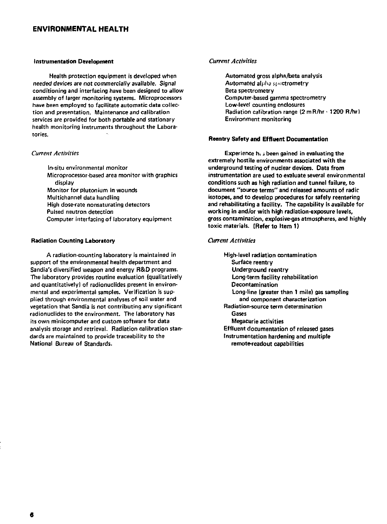## **ENVIRONMENTAL HEALTH**

#### Instrumentation **Development**

Health protection equipment is developed when needed devices are not commercially available. Signal conditioning and interfacing have been designed to allow assembly of larger monitoring systems. Microprocessors have been employed to facilitate automatic data collection and presentation. Maintenance and calibration services are provided for both portable and stationary health monitoring instruments throughout the Laboratories.

#### *Current Activities*

In-situ environmental monitor Microprocessor-based area monitor with graphics display Monitor for plutonium in wounds Multichannel data handling High dose-rate nonsaturating detectors Pulsed neutron detection Computer interfacing of laboratory equipment

#### Radiation Counting Laboratory

A radiation-counting laboratory is maintained in support of the environmental health department and Sandia's diversified weapon and energy R&D programs. The laboratory provides routine evaluation (qualitatively and quantitatively) of radionuclides present in environmental and experimental samples. Verification is supplied through environmental analyses of soil water and vegetation that Sandia is not contributing any significant radionuclides to the environment. The laboratory has its own minicomputer and custom software for data analysis storage and retrieval. Radiation calibration standards are maintained to provide traceability to the National Bureau of Standards.

#### *Current Activities*

Automated gross alpha/beta analysis Automated alpha spectrometry Beta spectrometry Computer-based gamma spectrometry Low-level counting enclosures Radiation calibration range (2 mR/hr -1200 R/hr) Environment monitoring

#### Reentry Safety **and Effluent Documentation**

Experience h< *i* been gained in evaluating the extremely hostile environments associated with the underground testing of nuclear devices. Data from instrumentation are used to evaluate several environmental conditions such as high radiation and tunnel failure, to document "source terms" and released amounts of radtc isotopes, and to develop procedures for safely reentering and rehabilitating a facility. The capability is available for working in and/or with high radiation-exposure levels, gross contamination, explosive-gas atmospheres, and highly toxic materials. (Refer to Item 1)

#### *Current Activities*

High-level radiation contamination Surface reentry Underground reentry Long-term facility rehabilitation Decontamination Long-line (greater than 1 mile) gas sampling and component characterization Radiation-source term determination Gases Megacurie activities Effluent documentation of released gases Instrumentation hardening and multiple remote-readout capabilities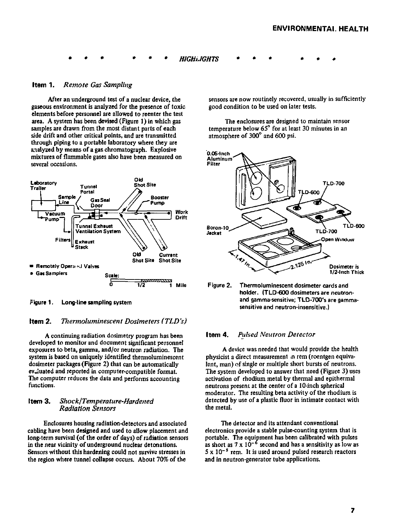$$
\bullet \quad \bullet \quad \bullet \quad \bullet \quad \bullet \quad \bullet \quad \bullet \quad \bullet \quad HIGHILIGHTS \qquad \bullet \quad \bullet \quad \bullet \quad \bullet \quad \bullet \quad \bullet \quad \bullet
$$

#### **Item 1\*** *Remote Gas Sampling*

After an underground test of a nuclear device, the gaseous environment is analyzed for the presence of toxic elements before personnel are allowed to reenter the test area. A system has been devised (Figure 1) in which gas samples are drawn from the most distant parts of each side drift and other critical points, and are transmitted through piping to a portable laboratory where they are analyzed by means of a gas chromatograph. Explosive mixtures of flammable gases also have been measured on several occasions.



Figure 1. Long-line sampling system

## **Item 2.** *Viermoluminescent Dosimeters (TLB's)*

A continuing radiation dosimetry program has been developed to monitor and document significant personnel exposures to beta, gamma, and/or neutron radiation. The system is based on uniquely identified thermoluminescent dosimeter packages (Figure 2) that can be automatically evaluated and reported in computer-compatible format. The computer reduces the data and performs accounting functions.

#### **Item 3.** *Shock/Temperature-Hardened Radiation Sensors*

Enclosures housing radiation-detectors and associated cabling have been designed and used to allow placement and long-term survival (of the order of days) of radiation sensors in the near vicinity of underground nuclear detonations. Sensors without this hardening could not survive stresses in the region where tunnel collapse occurs. About 70% of the

sensors are now routinely recovered, usually in sufficiently good condition to be used on later tests.

The enclosures are designed to maintain sensor temperature below 65° for at least 30 minutes in an atmosphere of 300° and 600 psi.



Figure 2. Thermoluminescent dosimeter cards and holder. (TLD-600 dosimeters are neutronand gamma-sensitive; TLD-700's are gammasensitive and neutron-insensitive.)

#### **Item 4.** *Pulsed Neutron Detector*

A device was needed that would provide the health physicist a direct measurement in rem (roentgen equivalent, man) of single or multiple short bursts of neutrons. The system developed to answer that need (Figure 3) uses activation of rhodium metal by thermal and epithermal neutrons present at the center of a 10-inch spherical moderator. The resulting beta activity of the rhodium is detected by use of a plastic fluor in intimate contact with the metal.

The detector and its attendant conventional electronics provide a stable pulse-counting system that is portable. The equipment has been calibrated with pulses<br>as short as 7 x 10<sup>-6</sup> second and has a sensitivity as low as  $5 \times 10^{-5}$  rem. It is used around pulsed research reactors and in neutron-generator tube applications.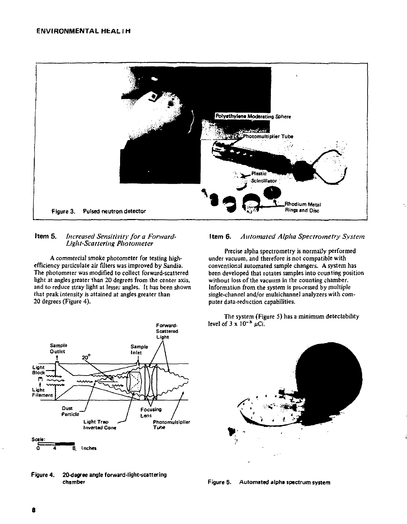

#### **Item 5.** *increased Sensitivity for a Forward-UghtScattering Photometer*

A commercial smoke photometer for testing highefficiency particulate air filters was improved by Sandia. The photometer was modified to collect for ward-scattered light at angles greater than 20 degrees from the center axis, and to reduce stray light at lesser angles. It has been shown that peak intensity is attained at angles greater than 20 degrees (Figure 4).



Precise alpha spectrometry is normally performed under vacuum, and therefore is not compatible with conventional automated sample changers. A system has been developed that rotates samples into counting position without loss of the vacuum in the counting chamber. Information from the system is processed by multiple single-channel and/or multichannel analyzers with computer data-reduction capabilities.

The system (Figure 5) has a minimum detectability level of  $3 \times 10^{-8}$  uCi.







Figure 4. 20-degree angle forward-light-scattering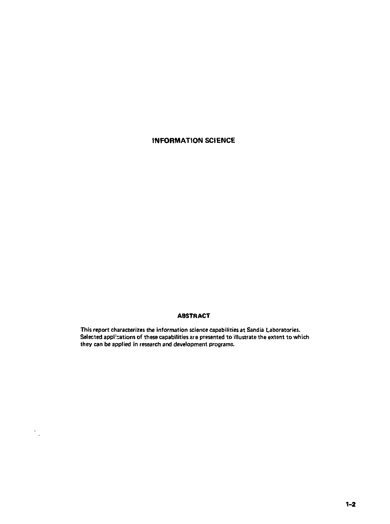# **INFORMATION SCIENCE**

# ABSTRACT

This report characterizes the information science capabilities at Sandia Laboratories. Selected applications of these capabilities are presented to illustrate the extent to which they can be applied in research and development programs.

 $\gamma_{\mu}$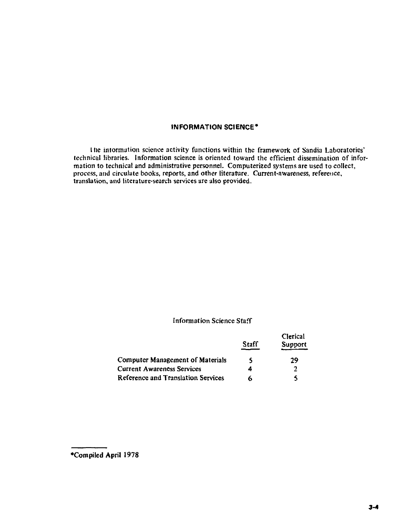# **INFORMATION SCIENCE\***

I lie information science activity functions within the framework of Sandia Laboratories' technical libraries. Information science is oriented toward the efficient dissemination of information to technical and administrative personnel. Computerized systems are used to collect, process, and circulate books, reports, and other literature. Current-awareness, reference, translation, and literature-search services are also provided.

# Information Science Staff

|                                         | Staff | Clerical<br>Support |
|-----------------------------------------|-------|---------------------|
| <b>Computer Management of Materials</b> | 5     | 29                  |
| <b>Current Awareness Services</b>       |       | 2                   |
| Reference and Translation Services      | Á     |                     |

**<sup>•</sup>Compiled April 1978**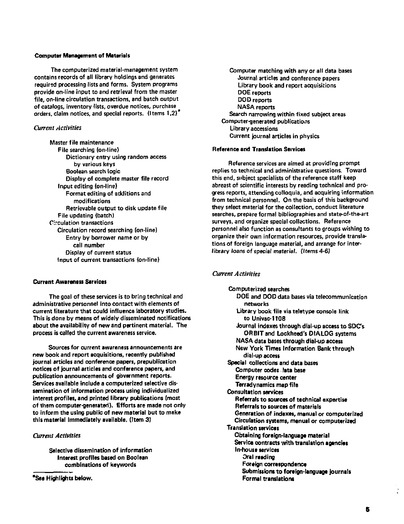#### **Computer Management of Materials**

**The computerized material-management system contains records of all library holdings and generates required processing fists and forms. System programs provide on-line input to and retrieval from the master file, on-line circulation transactions, and batch output of catalogs, inventory lists, overdue notices, purchase orders, claim notices, and special reports. (Items 1,2)** 

#### *Current Activities*

**Master file maintenance File searching (on-line) Dictionary entry using random access by various keys Boolean search logic Display of complete master file record Input editing (on-line) Format editing of additions and modifications Retrievable output to disk update file File updating (batch) Circulation transactions Circulation record searching (on-line) Entry by borrower name or by call number Display of current status Input of current transactions (on-line)** 

#### **Current Awareness Services**

**The goal of these services is to bring technical and administrative personnel into contact with elements of current literature that could influence laboratory studies. This is done by means of widely disseminated notifications about the availability of new and pertinent material. The process is called the current awareness service.** 

**Sources for current awareness announcements are new book and report acquisitions, recently published journal articles and conference papers, prepublication notices of journal articles and conference papers, and publication announcements of government reports. Services available include a computerized selective dissemination of information process using individualized interest profiles, and printed library publications (most of thsm computer-generated). Efforts are made not only to inform the using public of new material but to make this material immediately available, (Item 3)** 

#### *Current Activities*

**Selective dissemination of information Interest profiles based on Boolean combinations of keywords** 

**'See Highlights below.** 

**Computer matching with any or all data bases Journal articles and conference papers Library book and report acquisitions DOE reports DO D reports NASA reports Search narrowing within fixed subject areas Computer-generated publications Library accessions Current journal articles in physics** 

#### **Reference and Translation Services**

**Reference services are aimed at providing prompt replies to technical and administrative questions. Toward this end, subject specialists of the reference staff keep abreast of scientific interests by reading technical and progress reports, attending cotloquia, and acquiring information from technical personnel. On the basis of this background they select material for the collection, conduct literature searches, prepare formal bibliographies and state-of-the-art surveys, and organize special collections. Reference personnel also function as consultants to groups wishing to organize their own information resources, provide translations of foreign language material, and arrange for interlibrary loans of special material. (Items 4-6)** 

#### *Current Activities*

**Computerized searches DOE and DOD data bases via telecommunication networks Library book file via teletype console link to Univac-1108 Journal indexes through dial-up access to SDCs ORBIT and Lockheed's DIALOG systems NASA data bases through dial-up access New York Times Information Bank through dial-up access Special collections and data bases Computer codes lata base Energy resource center Terradynamics map file Consultation services Referrals to sources of technical expertise Referrals to sources of materials Generation of indexes, manual or computerized Circulation systems, manual or computerized Translation services Obtaining foreign-language material Service contracts with translation agencies ln-house services Oral reading Foreign correspondence Submissions to foreign-language journals Formal translations**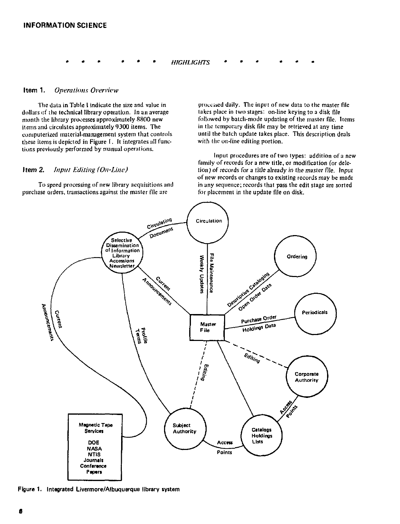*HIGHLIGHTS* 

#### **Item 1.** *Operations Overview*

The data in Tabic 1 indicate the size and value in dollars of ihe technical library operation. In an average month the library processes approximately 8800 new items and circulates approximately 9300 items. The computerized material-management system that controls these items is depicted in Figure 1. It integrates all functions previously performed by manual operations.

#### **Item 2.** *Input Editing (On-line)*

To speed processing of new library acquisitions and purchase orders, transactions against the master file are

processed daily. The input of new data to the master file lakes place in two stages: on-line keying to a disk file followed by batch-mode updating of the master file. Items in the temporary disk file may be retrieved at any time until the batch update takes place. This description deals with the on-line editing portion.

Input procedures are of two types: addition of a new family of records for a new title, or modification (or deletion) of records for a title already in the master file. Input of new records or changes to existing records may be made in any sequence; records that pass the edit stage are sorted for placement in the update file on disk.



Figure 1. Integrated Uvermore/Albuquerque library system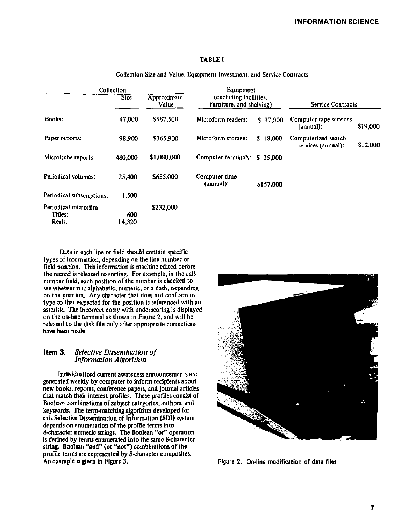### TABLE I

| Collection                                |                                     | Equipment   |                                                    |           |                                           |          |
|-------------------------------------------|-------------------------------------|-------------|----------------------------------------------------|-----------|-------------------------------------------|----------|
|                                           | <b>Size</b><br>Approximate<br>Value |             | (excluding facilities,<br>furniture, and shelving) |           | Service Contracts                         |          |
| Books:                                    | 47,000                              | \$587,500   | Microform readers:                                 | \$37,000  | Computer tape services<br>(annual):       | \$19,000 |
| Paper reports:                            | 98.900                              | \$365,900   | Microform storage:                                 | \$18,000  | Computerized search<br>services (annual): | \$12,000 |
| Microfiche reports:                       | 480.000                             | \$1,080,000 | Computer terminals:                                | \$25,000  |                                           |          |
| Periodical volumes:                       | 25,400                              | \$635,000   | Computer time<br>(annual):                         | \$157,000 |                                           |          |
| Periodical subscriptions:                 | 1.500                               |             |                                                    |           |                                           |          |
| Periodical microfilm<br>Titles:<br>Reels: | 600<br>14.320                       | \$232,000   |                                                    |           |                                           |          |

Collection Size and Value, Equipment Investment, and Service Contracts

Data in each line or field should contain specific types of information, depending on the line number or field position. This information is machine edited before the record is released to sorting. For example, in the callnumber field, each position of the number is checked to see whether it is alphabetic, numeric, or a dash, depending on the position. Any character that does not conform in type to that expected for the position is referenced with an asterisk. The incorrect entry with underscoring is displayed on the on-line terminal as shown in Figure 2, and will be released to the disk file only after appropriate corrections have been made.

#### **Item 3.** *Selective Dissemination of Information Algorithm*

Individualized current awareness announcements are generated weekly by computer to inform recipients about new books, reports, conference papers, and journal articles that match their interest profiles. These profiles consist of Boolean combinations of subject categories, authors, and keywords. The term-matching algorithm developed for this Selective Dissemination of information (SD1) system depends on enumeration of the profile terms into 8-character numeric strings. The Boolean "or" operation is defined by terms enumerated into the same 8-character string. Boolean "and" (or "not") combinations of the profile terms are represented by 8-character composites. An example is given in Figure 3. Figure 2. On-line modification of **data files** 

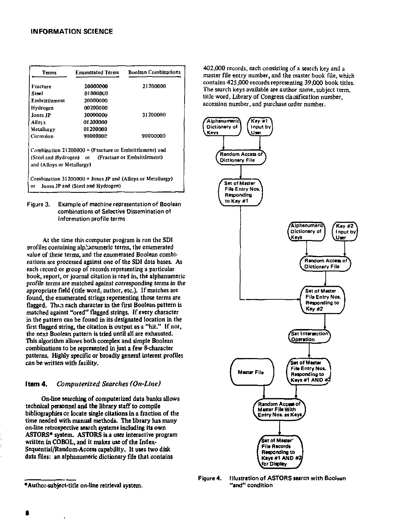| Terms                      | <b>Enumerated Terms</b>                                                                                       | <b>Boolean Combinations</b> |  |
|----------------------------|---------------------------------------------------------------------------------------------------------------|-----------------------------|--|
| Fracture                   | 20000000                                                                                                      | 21200000                    |  |
| Steel                      | 010000ED                                                                                                      |                             |  |
| Embrittlement              | 20000000                                                                                                      |                             |  |
| Hydrogen                   | 00200000                                                                                                      |                             |  |
| Jones JP                   | 30000000                                                                                                      | 31200000                    |  |
| Allos s                    | at 200000                                                                                                     |                             |  |
| Metallurey                 | 01200000                                                                                                      |                             |  |
| Corrosion                  | 90000000                                                                                                      | 90000000                    |  |
| and (Alloys or Metallurgy) | Combination 21200000 = (Fracture or Embrittlement) and<br>(Steel and Hydrogen) or (Fracture or Embrittlement) |                             |  |
| or                         | Combination $31200000 =$ Jones JP and (Alloys or Metallurgy)<br>Jones JP and (Steel and Hydrogen)             |                             |  |

Figure 3. Example of machine representation of Boolean combinations of Selective Dissemination of Information profile terms

At the time this computer program is run the SDI profiles containing alphanumeric terms, the enumerated value of these terms, and the enumerated Boolean combinations are processed against one of the SDI data bases. As each record or group of records representing a particular book, report, or journal citation is read in, the alphanumeric profile terms are matched against corresponding terms in the appropriate field (title word, author, etc.). If matches are found, the enumerated strings representing those terms are flagged. Then each character in the first Boolean pattern is matched against "ored" flagged strings. If every character in the pattern can be found in its designated location in the first flagged string, the citation is output as a "hit." If not, the next Boolean pattern is tried until all are exhausted. This algorithm allows both complex and simple Boolean combinations to be represented in just a few 8-character patterns. Highly specific or broadly general interest profiles can be written with facility.

## Item 4. *Computerized Searches (On-Line)*

On-line searching of computerized data banks allows technical personnel and the library staff to compile bibliographies or locate single citations in a fraction of the time needed with manual methods. The library has many on-line retrospective search systems including its own ASTORS\* system. ASTORS is a user interactive program written in COBOL, and it makes use of the Index-Sequential/Random-Access capability. It uses two disk data files: an alphanumeric dictionary file that contains

402,000 records, each consisting of a search key and a master fde entry number, and the master book file, which contains 425,000 records representing 39,000 book titles. The search keys available are author name, subject term, title word, Library of Congress classification number, accession number, and purchase order number.



Figure 4. Illustration of ASTORS search with Booiean "and" condition

<sup>•</sup>Author-subject-title on-line retrieval system.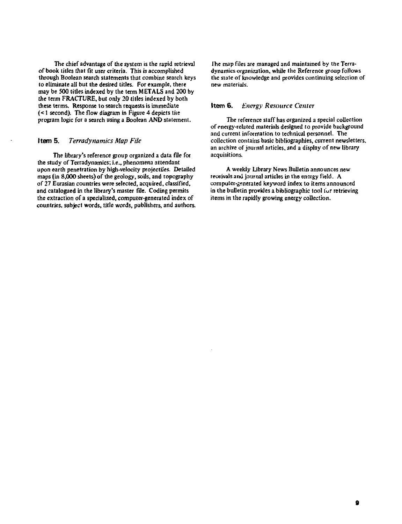The chief advantage of die system is the rapid retrieval of book titles that fit user criteria. This is accomplished through Boolean search statements that combine search keys to eliminate all but the desired titles. For example, there may be 500 titles indexed by the term METALS and 200 by the term FRACTURE, but only 20 titles indexed by both these terms. Response to search requests is immediate (< I second). The flow diagram in Figure 4 depicts the program logic for a search using a Boolean AND statement.

#### **Item** 5. *Terradynamics Map File*

The library's reference group organized a data file for the study of Terradynamics; i.e., phenomena attendant upon earth penetration by high-velocity projectiles. Detailed maps (in 8,000 sheets) of the geology, soils, and topography of 27 Eurasian countries were selected, acquired, classified, and catalogued in the library's master file. Coding permits the extraction of a specialized, computer-generated index of countries, subject words, title words, publishers, and authors.

the map files are managed and maintained by the Terradynamics organization, while the Reference group follows the slate of knowledge and provides continuing selection of new materials.

### **Item 6.** *Energy Resource Center*

The reference staff has organized a special collection of energy-related materials designed to provide background and current information to technical personnel. The collection contains basic bibliographies, current newsletters, an archive of journal articles, and a display of new library acquisitions.

A weekly Library News Bulletin announces new receivals and journal articles in the energy field. A computer-generated keyword index to items announced in the bulletin provides a bibliographic tool tor retrieving items in the rapidly growing energy collection.